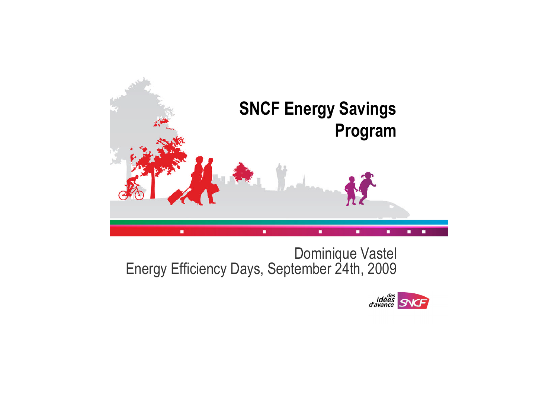

# Dominique Vastel Energy Efficiency Days, September 24th, 2009



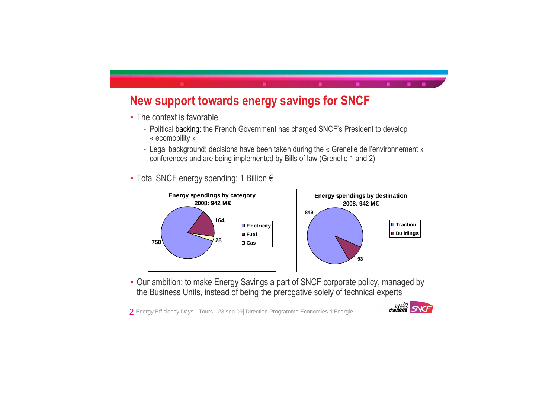







## **New support towards energy savings for SNCF**

- The context is favorable
	- Political backing: the French Government has charged SNCF's President to develop « ecomobility »
	- Legal background: decisions have been taken during the « Grenelle de l'environnement » conferences and are being implemented by Bills of law (Grenelle 1 and 2)
- Total SNCF energy spending: 1 Billion €



• Our ambition: to make Energy Savings a part of SNCF corporate policy, managed by the Business Units, instead of being the prerogative solely of technical experts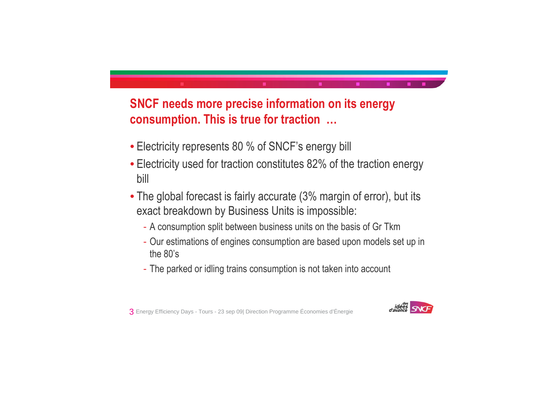



## **SNCF needs more precise information on its energy consumption. This is true for traction …**

- Electricity represents 80 % of SNCF's energy bill
- Electricity used for traction constitutes 82% of the traction energy bill
- The global forecast is fairly accurate (3% margin of error), but its exact breakdown by Business Units is impossible:
	- A consumption split between business units on the basis of Gr Tkm
	- Our estimations of engines consumption are based upon models set up in the 80's
	- The parked or idling trains consumption is not taken into account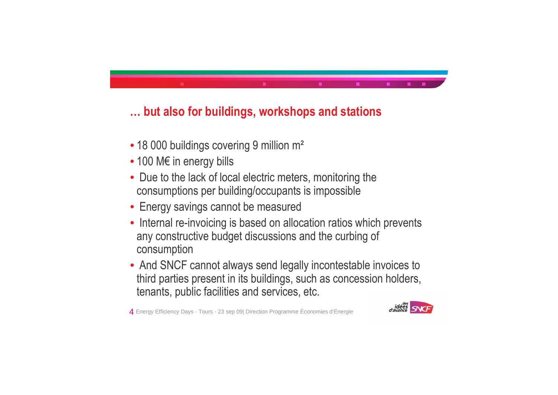



## **… but also for buildings, workshops and stations**

- 18 000 buildings covering 9 million m<sup>2</sup>
- 100 M€ in energy bills
- Due to the lack of local electric meters, monitoring the consumptions per building/occupants is impossible
- Energy savings cannot be measured
- Internal re-invoicing is based on allocation ratios which prevents any constructive budget discussions and the curbing of consumption
- And SNCF cannot always send legally incontestable invoices to third parties present in its buildings, such as concession holders, tenants, public facilities and services, etc.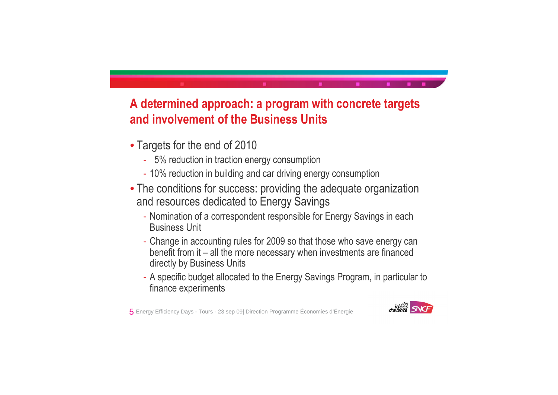



## **A determined approach: a program with concrete targets and involvement of the Business Units**

- Targets for the end of 2010
	- 5% reduction in traction energy consumption
	- 10% reduction in building and car driving energy consumption
- The conditions for success: providing the adequate organization and resources dedicated to Energy Savings
	- Nomination of a correspondent responsible for Energy Savings in each Business Unit
	- Change in accounting rules for 2009 so that those who save energy can benefit from it – all the more necessary when investments are financed directly by Business Units
	- A specific budget allocated to the Energy Savings Program, in particular to finance experiments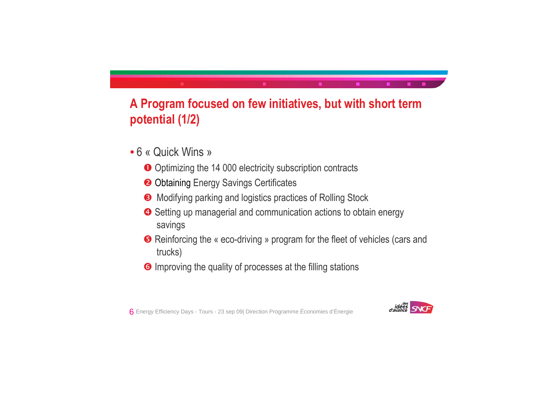



## **A Program focused on few initiatives, but with short term potential (1/2)**

- 6 « Quick Wins »
	- O Optimizing the 14 000 electricity subscription contracts
	- <sup>2</sup> Obtaining Energy Savings Certificates
	- **8** Modifying parking and logistics practices of Rolling Stock
	- **4** Setting up managerial and communication actions to obtain energy savings
	- **B** Reinforcing the « eco-driving » program for the fleet of vehicles (cars and trucks)
	- **6** Improving the quality of processes at the filling stations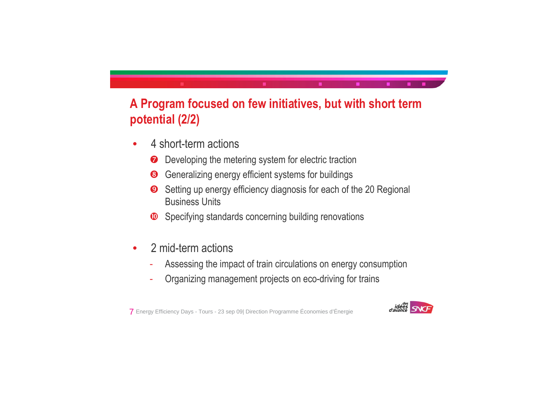



## **A Program focused on few initiatives, but with short term potential (2/2)**

- 4 short-term actions
	- $\bullet$  Developing the metering system for electric traction
	- **8** Generalizing energy efficient systems for buildings
	- $\bullet$  Setting up energy efficiency diagnosis for each of the 20 Regional Business Units
	- $\bullet$  Specifying standards concerning building renovations
- 2 mid-term actions
	- Assessing the impact of train circulations on energy consumption
	- Organizing management projects on eco-driving for trains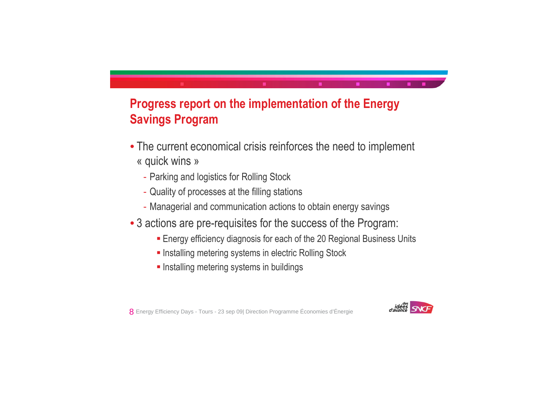



## **Progress report on the implementation of the Energy Savings Program**

- The current economical crisis reinforces the need to implement « quick wins »
	- Parking and logistics for Rolling Stock
	- Quality of processes at the filling stations
	- Managerial and communication actions to obtain energy savings
- 3 actions are pre-requisites for the success of the Program:
	- **Energy efficiency diagnosis for each of the 20 Regional Business Units**
	- **Installing metering systems in electric Rolling Stock**
	- **Installing metering systems in buildings**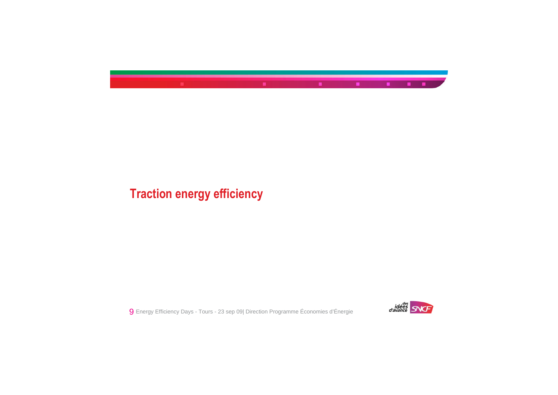





## **Traction energy efficiency**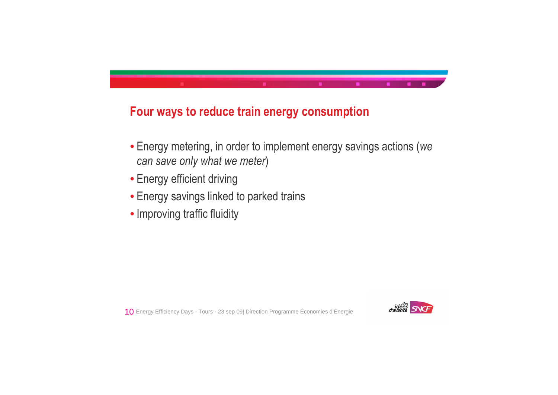



### **Four ways to reduce train energy consumption**

- Energy metering, in order to implement energy savings actions (*we can save only what we meter*)
- Energy efficient driving
- Energy savings linked to parked trains
- Improving traffic fluidity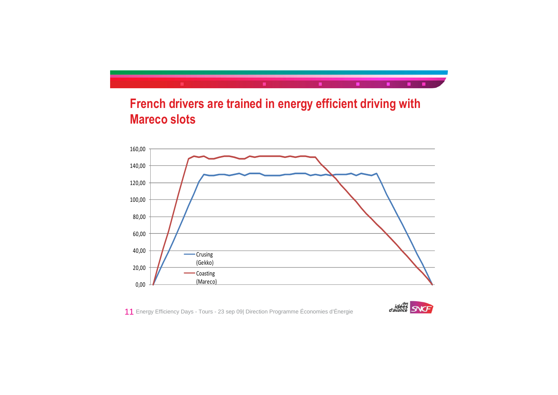







## **French drivers are trained in energy efficient driving with Mareco slots**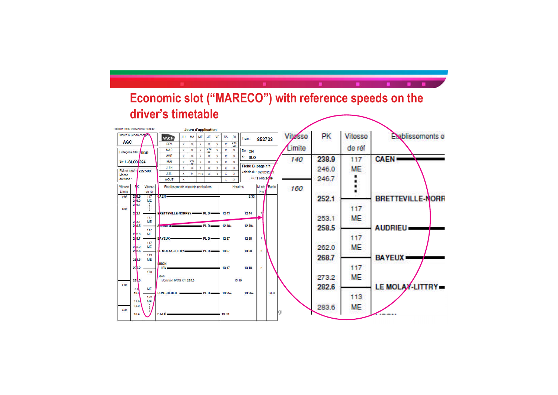|                               |                     |                  |         | .<br><b>MAR</b>                       | ×                  | $\mathbf{x}$    | $\mathbf x$  | $5 - 12$       | x                       | x                       | 22<br>x      |                         |                |     |    | Limite |       | de réf    |                    |
|-------------------------------|---------------------|------------------|---------|---------------------------------------|--------------------|-----------------|--------------|----------------|-------------------------|-------------------------|--------------|-------------------------|----------------|-----|----|--------|-------|-----------|--------------------|
| Catégorie Stat /RBR           |                     |                  |         | <b>AVR</b>                            | $\mathbf{x}$       | $\mathbf{x}$    | $\mathbf{x}$ | 26<br>$\bf{x}$ | $\mathbf{x}$            | $\bar{\mathbf{x}}$      | $\mathbf x$  | De: CN                  |                |     |    |        |       |           |                    |
| Siv 1: SLO00024               |                     |                  |         | MAI                                   | $\mathbf{x}$       | $rac{5-12}{19}$ | $\mathbf x$  | $\mathbf x$    | $\mathbf x$             | x                       | X            | à: SLO                  |                |     |    | 140    | 238.9 | 117       | <b>CAEN</b>        |
|                               |                     |                  |         | <b>JUIN</b>                           | $\bar{\mathbf{x}}$ | $\mathbf{x}$    | $\mathbf{x}$ | $\bf{x}$       | $\mathbf{x}$            | $\bar{\mathbf{x}}$      | $\mathbf{x}$ | Fiche B, page 1/1       |                |     |    |        |       | ME.       |                    |
| EM de tracé : Z27500<br>Masse |                     |                  |         | JUIL                                  | $\mathbf{x}$       | 14              | $1 - 15$     | $\overline{2}$ | $\overline{\mathbf{3}}$ | $\overline{\mathbf{x}}$ | $\mathbf{x}$ | valable du : 02/02/2079 |                |     |    |        | 246.0 |           |                    |
| de tracé :                    |                     |                  |         | <b>AOUT</b>                           | $\mathbf x$        |                 |              |                |                         | $\bar{\mathbf{x}}$      | x            |                         | au: 31/08/2009 |     |    |        | 246.7 |           |                    |
| Vitesse                       | пk                  |                  | Vitesse | Etablissements et points particuliers |                    |                 |              |                | <b>Horaires</b>         |                         |              |                         | M. rég Radio   |     |    |        |       |           |                    |
| Limite                        |                     | de réf           |         |                                       |                    |                 |              | Pho            |                         |                         |              |                         |                | 160 |    |        |       |           |                    |
| 140                           | 238.9<br>246.0      | 117<br>ME        |         | <b>CAEN</b>                           |                    |                 |              |                |                         |                         |              | 12 33                   |                |     |    |        | 252.1 |           | <b>BRETTEVILLE</b> |
|                               | 246.7               |                  |         |                                       |                    |                 |              |                |                         |                         |              |                         |                |     |    |        |       |           |                    |
| 160                           | 2 2.1               |                  |         | ERETTEVILLE-NORREY - PLD              |                    |                 |              |                |                         | 12 43                   |              | 12 44                   |                |     |    |        |       | 117       |                    |
|                               |                     | 117              |         |                                       |                    |                 |              |                |                         |                         |              |                         |                |     |    |        | 253.1 | <b>ME</b> |                    |
|                               | 2,3.1<br>2,8.5      | MF               |         | <b>A</b> contractor                   |                    | PLD             |              |                |                         | $12.48+$                |              | $12.49+$                |                |     |    |        |       |           |                    |
|                               |                     | 117              |         |                                       |                    |                 |              |                |                         |                         |              |                         |                |     |    |        | 258.5 |           | <b>AUDRIEU -</b>   |
|                               | 2 2.0<br>268.7      | <b>ME</b>        |         | <b>EAYEUX-</b>                        |                    |                 |              | $-$ PLD $-$    |                         | 1257                    |              | 1258                    | $\overline{1}$ |     |    |        |       | 117       |                    |
|                               |                     | 117<br>ME        |         |                                       |                    |                 |              |                |                         |                         |              |                         |                |     |    |        |       |           |                    |
|                               | $\frac{27}{28}$ 3.2 |                  |         |                                       |                    |                 |              |                |                         | 13 07                   |              | 1308                    | $\overline{2}$ |     |    |        | 262.0 | <b>ME</b> |                    |
|                               | 283.6               | 113<br><b>MF</b> |         |                                       |                    |                 |              |                |                         |                         |              |                         |                |     |    |        | 268.7 |           | <b>BAYEUX</b>      |
|                               |                     |                  |         | <b>ISON</b>                           |                    |                 |              |                |                         |                         |              |                         |                |     |    |        |       |           |                    |
|                               | 295.2               | 120              |         | I BV                                  |                    |                 |              |                |                         | 13 17                   |              | 13 18                   | $\overline{2}$ |     |    |        |       | 117       |                    |
|                               |                     |                  |         | Lison                                 |                    |                 |              |                |                         |                         |              |                         |                |     |    |        | 273.2 | ME.       |                    |
| 140                           | 295 6               |                  |         | I Jonction IPCS Km 295.6              |                    |                 |              |                |                         |                         | 13 19        |                         |                |     |    |        |       |           |                    |
|                               | 5.0                 | <b>ME</b>        |         |                                       |                    |                 |              |                |                         |                         |              |                         |                |     |    |        | 282.6 |           | LE MOLAY-LI        |
|                               | 10.3                | 132              |         | PONT-HÉBERT                           |                    |                 |              |                |                         | $13.25+$                |              | 13 26+                  |                | GFU |    |        |       | 113       |                    |
|                               | 12.9                | ME               |         |                                       |                    |                 |              |                |                         |                         |              |                         |                |     |    |        |       |           |                    |
| 120                           | 13.0                | ٠                |         |                                       |                    |                 |              |                |                         |                         |              |                         |                |     |    |        | 283.6 | ME        |                    |
|                               | 18.4                |                  |         | $ST-LO$                               |                    |                 |              |                |                         | 13 33                   |              |                         |                |     | gı |        |       |           |                    |
|                               |                     |                  |         |                                       |                    |                 |              |                |                         |                         |              |                         |                |     |    |        |       |           |                    |

#### **Economic slot ("MARECO") with reference speeds on the driver's timetable**Edition WEB du 09/06/2009 à 15:34:42 Jours d'application  $SNOT$  LU MA ME JE VE SA DI<br>FEV  $x$   $x$   $x$   $x$   $x$   $x$   $x$   $x$   $x$  8.15 PK Vitesse **Explissements e** Vitasse Indice ou code compo **AGC**





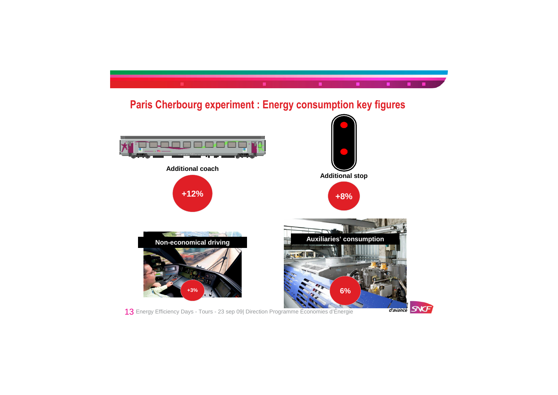

13 Energy Efficiency Days - Tours - 23 sep 09| Direction Programme Économies d'Énergie





### **Paris Cherbourg experiment : Energy consumption key figures**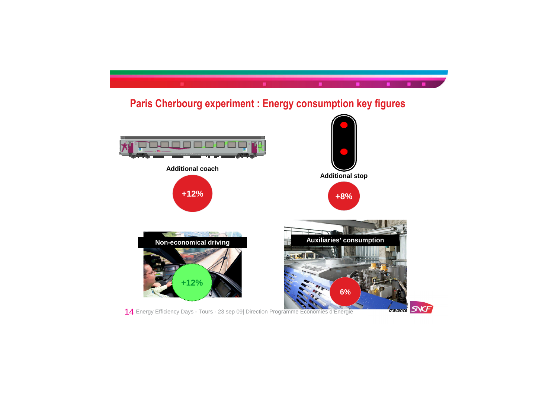

14 Energy Efficiency Days - Tours - 23 sep 09| Direction Programme Économies d'Énergie





### **Paris Cherbourg experiment : Energy consumption key figures**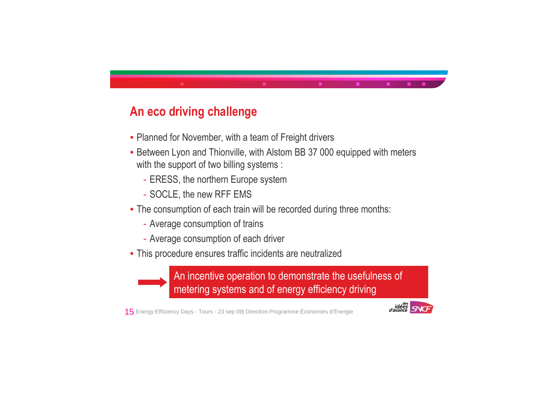





## **An eco driving challenge**

- Planned for November, with a team of Freight drivers
- Between Lyon and Thionville, with Alstom BB 37 000 equipped with meters with the support of two billing systems :
	- ERESS, the northern Europe system
	- SOCLE, the new RFF EMS
- The consumption of each train will be recorded during three months:
	- Average consumption of trains
	- Average consumption of each driver
- This procedure ensures traffic incidents are neutralized



An incentive operation to demonstrate the usefulness of metering systems and of energy efficiency driving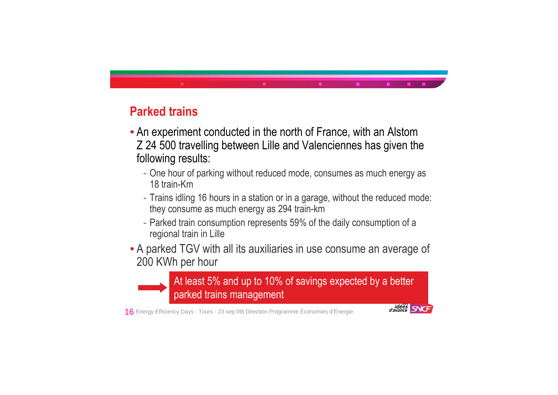



- 
- 
- 
- 



## **Parked trains**

At least 5% and up to 10% of savings expected by a better parked trains management

- An experiment conducted in the north of France, with an Alstom Z 24 500 travelling between Lille and Valenciennes has given the following results:
	- One hour of parking without reduced mode, consumes as much energy as 18 train-Km
	- Trains idling 16 hours in a station or in a garage, without the reduced mode: they consume as much energy as 294 train-km
	- Parked train consumption represents 59% of the daily consumption of a regional train in Lille
- A parked TGV with all its auxiliaries in use consume an average of 200 KWh per hour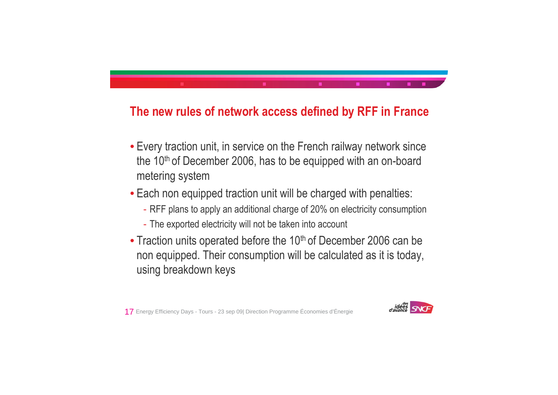





### **The new rules of network access defined by RFF in France**

- Every traction unit, in service on the French railway network since the 10<sup>th</sup> of December 2006, has to be equipped with an on-board metering system
- Each non equipped traction unit will be charged with penalties:
	- RFF plans to apply an additional charge of 20% on electricity consumption
	- The exported electricity will not be taken into account
- Traction units operated before the 10<sup>th</sup> of December 2006 can be non equipped. Their consumption will be calculated as it is today, using breakdown keys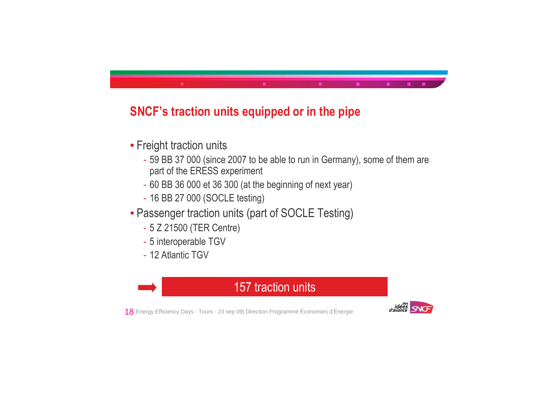



## **SNCF's traction units equipped or in the pipe**

- Freight traction units
	- 59 BB 37 000 (since 2007 to be able to run in Germany), some of them are part of the ERESS experiment
	- 60 BB 36 000 et 36 300 (at the beginning of next year)
	- 16 BB 27 000 (SOCLE testing)
- Passenger traction units (part of SOCLE Testing)
	- 5 Z 21500 (TER Centre)
	- 5 interoperable TGV
	- 12 Atlantic TGV

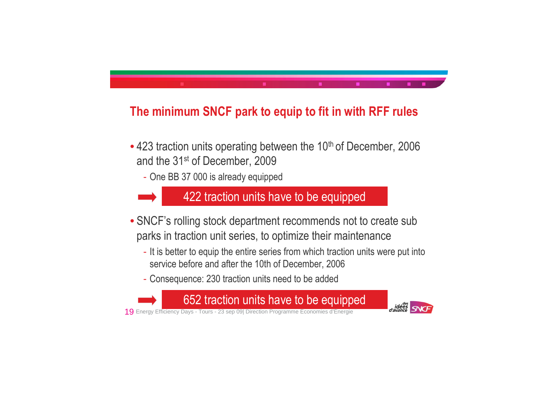



## **The minimum SNCF park to equip to fit in with RFF rules**

- 423 traction units operating between the 10<sup>th</sup> of December, 2006 and the 31st of December, 2009
	- One BB 37 000 is already equipped

422 traction units have to be equipped

- SNCF's rolling stock department recommends not to create sub parks in traction unit series, to optimize their maintenance
	- It is better to equip the entire series from which traction units were put into service before and after the 10th of December, 2006
	- Consequence: 230 traction units need to be added